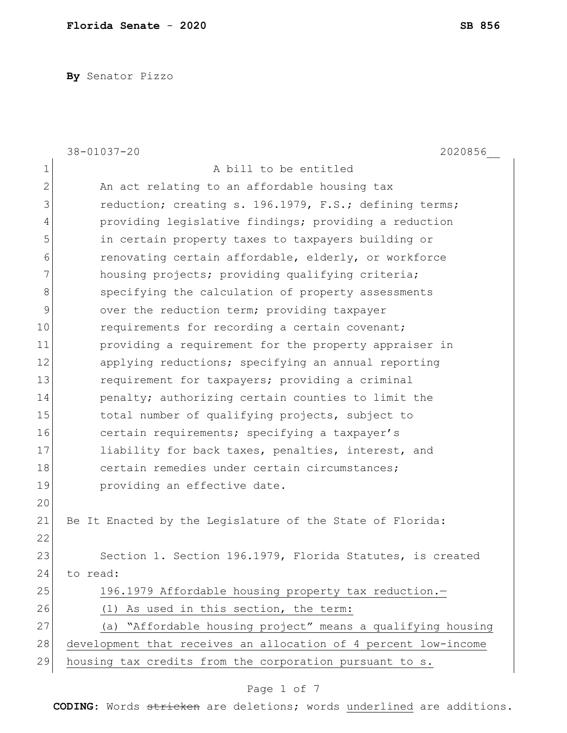**By** Senator Pizzo

|                | $38 - 01037 - 20$<br>2020856                                    |
|----------------|-----------------------------------------------------------------|
| $\mathbf 1$    | A bill to be entitled                                           |
| $\overline{2}$ | An act relating to an affordable housing tax                    |
| 3              | reduction; creating s. 196.1979, F.S.; defining terms;          |
| 4              | providing legislative findings; providing a reduction           |
| 5              | in certain property taxes to taxpayers building or              |
| 6              | renovating certain affordable, elderly, or workforce            |
| 7              | housing projects; providing qualifying criteria;                |
| 8              | specifying the calculation of property assessments              |
| $\mathsf 9$    | over the reduction term; providing taxpayer                     |
| 10             | requirements for recording a certain covenant;                  |
| 11             | providing a requirement for the property appraiser in           |
| 12             | applying reductions; specifying an annual reporting             |
| 13             | requirement for taxpayers; providing a criminal                 |
| 14             | penalty; authorizing certain counties to limit the              |
| 15             | total number of qualifying projects, subject to                 |
| 16             | certain requirements; specifying a taxpayer's                   |
| 17             | liability for back taxes, penalties, interest, and              |
| 18             | certain remedies under certain circumstances;                   |
| 19             | providing an effective date.                                    |
| 20             |                                                                 |
| 21             | Be It Enacted by the Legislature of the State of Florida:       |
| 22             |                                                                 |
| 23             | Section 1. Section 196.1979, Florida Statutes, is created       |
| 24             | to read:                                                        |
| 25             | 196.1979 Affordable housing property tax reduction.-            |
| 26             | (1) As used in this section, the term:                          |
| 27             | (a) "Affordable housing project" means a qualifying housing     |
| 28             | development that receives an allocation of 4 percent low-income |
| 29             | housing tax credits from the corporation pursuant to s.         |

# Page 1 of 7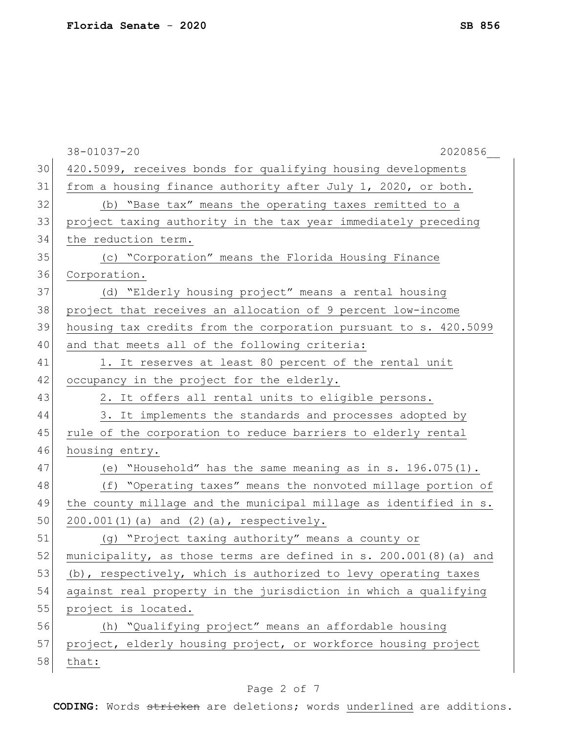|    | 38-01037-20<br>2020856                                            |
|----|-------------------------------------------------------------------|
| 30 | 420.5099, receives bonds for qualifying housing developments      |
| 31 | from a housing finance authority after July 1, 2020, or both.     |
| 32 | (b) "Base tax" means the operating taxes remitted to a            |
| 33 | project taxing authority in the tax year immediately preceding    |
| 34 | the reduction term.                                               |
| 35 | (c) "Corporation" means the Florida Housing Finance               |
| 36 | Corporation.                                                      |
| 37 | (d) "Elderly housing project" means a rental housing              |
| 38 | project that receives an allocation of 9 percent low-income       |
| 39 | housing tax credits from the corporation pursuant to s. 420.5099  |
| 40 | and that meets all of the following criteria:                     |
| 41 | 1. It reserves at least 80 percent of the rental unit             |
| 42 | occupancy in the project for the elderly.                         |
| 43 | 2. It offers all rental units to eligible persons.                |
| 44 | 3. It implements the standards and processes adopted by           |
| 45 | rule of the corporation to reduce barriers to elderly rental      |
| 46 | housing entry.                                                    |
| 47 | (e) "Household" has the same meaning as in s. 196.075(1).         |
| 48 | (f) "Operating taxes" means the nonvoted millage portion of       |
| 49 | the county millage and the municipal millage as identified in s.  |
| 50 | 200.001(1)(a) and (2)(a), respectively.                           |
| 51 | (g) "Project taxing authority" means a county or                  |
| 52 | municipality, as those terms are defined in s. 200.001(8) (a) and |
| 53 | (b), respectively, which is authorized to levy operating taxes    |
| 54 | against real property in the jurisdiction in which a qualifying   |
| 55 | project is located.                                               |
| 56 | (h) "Qualifying project" means an affordable housing              |
| 57 | project, elderly housing project, or workforce housing project    |
| 58 | that:                                                             |

# Page 2 of 7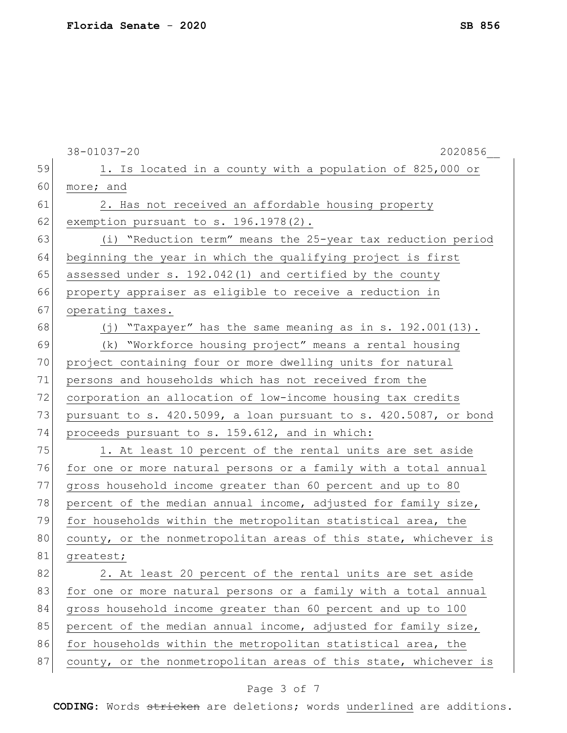|    | $38 - 01037 - 20$<br>2020856                                     |
|----|------------------------------------------------------------------|
| 59 | 1. Is located in a county with a population of 825,000 or        |
| 60 | more; and                                                        |
| 61 | 2. Has not received an affordable housing property               |
| 62 | exemption pursuant to s. 196.1978(2).                            |
| 63 | (i) "Reduction term" means the 25-year tax reduction period      |
| 64 | beginning the year in which the qualifying project is first      |
| 65 | assessed under s. 192.042(1) and certified by the county         |
| 66 | property appraiser as eligible to receive a reduction in         |
| 67 | operating taxes.                                                 |
| 68 | (j) "Taxpayer" has the same meaning as in s. 192.001(13).        |
| 69 | (k) "Workforce housing project" means a rental housing           |
| 70 | project containing four or more dwelling units for natural       |
| 71 | persons and households which has not received from the           |
| 72 | corporation an allocation of low-income housing tax credits      |
| 73 | pursuant to s. 420.5099, a loan pursuant to s. 420.5087, or bond |
| 74 | proceeds pursuant to s. 159.612, and in which:                   |
| 75 | 1. At least 10 percent of the rental units are set aside         |
| 76 | for one or more natural persons or a family with a total annual  |
| 77 | gross household income greater than 60 percent and up to 80      |
| 78 | percent of the median annual income, adjusted for family size,   |
| 79 | for households within the metropolitan statistical area, the     |
| 80 | county, or the nonmetropolitan areas of this state, whichever is |
| 81 | greatest;                                                        |
| 82 | 2. At least 20 percent of the rental units are set aside         |
| 83 | for one or more natural persons or a family with a total annual  |
| 84 | gross household income greater than 60 percent and up to 100     |
| 85 | percent of the median annual income, adjusted for family size,   |
| 86 | for households within the metropolitan statistical area, the     |
| 87 | county, or the nonmetropolitan areas of this state, whichever is |
|    |                                                                  |

# Page 3 of 7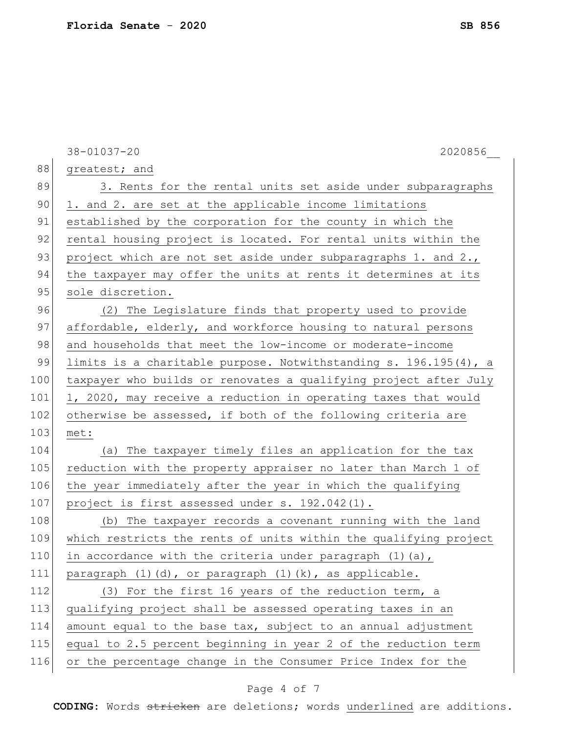|     | $38 - 01037 - 20$<br>2020856                                      |
|-----|-------------------------------------------------------------------|
| 88  | greatest; and                                                     |
| 89  | 3. Rents for the rental units set aside under subparagraphs       |
| 90  | 1. and 2. are set at the applicable income limitations            |
| 91  | established by the corporation for the county in which the        |
| 92  | rental housing project is located. For rental units within the    |
| 93  | project which are not set aside under subparagraphs 1. and 2.,    |
| 94  | the taxpayer may offer the units at rents it determines at its    |
| 95  | sole discretion.                                                  |
| 96  | (2) The Legislature finds that property used to provide           |
| 97  | affordable, elderly, and workforce housing to natural persons     |
| 98  | and households that meet the low-income or moderate-income        |
| 99  | limits is a charitable purpose. Notwithstanding s. 196.195(4), a  |
| 100 | taxpayer who builds or renovates a qualifying project after July  |
| 101 | 1, 2020, may receive a reduction in operating taxes that would    |
| 102 | otherwise be assessed, if both of the following criteria are      |
| 103 | met:                                                              |
| 104 | (a) The taxpayer timely files an application for the tax          |
| 105 | reduction with the property appraiser no later than March 1 of    |
| 106 | the year immediately after the year in which the qualifying       |
| 107 | project is first assessed under s. 192.042(1).                    |
| 108 | (b) The taxpayer records a covenant running with the land         |
| 109 | which restricts the rents of units within the qualifying project  |
| 110 | in accordance with the criteria under paragraph (1) (a),          |
| 111 | paragraph $(1)$ $(d)$ , or paragraph $(1)$ $(k)$ , as applicable. |
| 112 | (3) For the first 16 years of the reduction term, a               |
| 113 | qualifying project shall be assessed operating taxes in an        |
| 114 | amount equal to the base tax, subject to an annual adjustment     |
| 115 | equal to 2.5 percent beginning in year 2 of the reduction term    |
| 116 | or the percentage change in the Consumer Price Index for the      |

# Page 4 of 7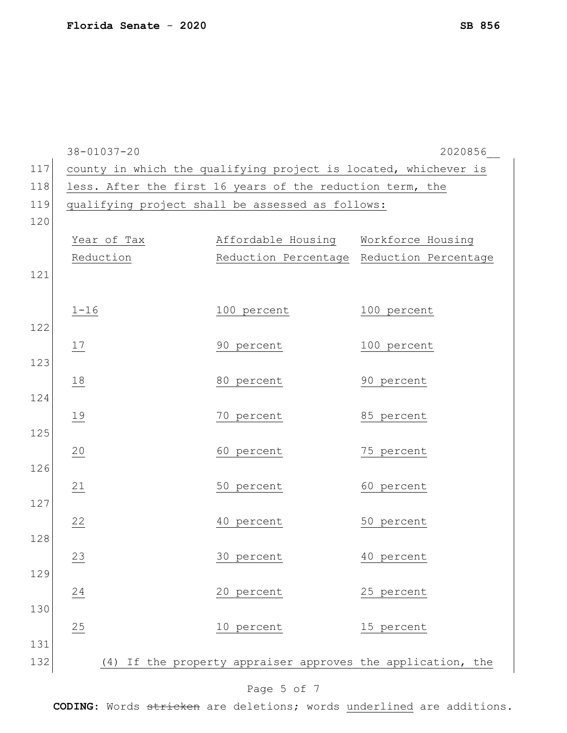| $38 - 01037 - 20$                                                      | 2020856 |
|------------------------------------------------------------------------|---------|
| 117<br>county in which the qualifying project is located, whichever is |         |
| 118<br>less. After the first 16 years of the reduction term, the       |         |
| 119<br>qualifying project shall be assessed as follows:                |         |
| 120                                                                    |         |
| Affordable Housing<br>Year of Tax<br>Workforce Housing                 |         |
| Reduction<br>Reduction Percentage Reduction Percentage                 |         |
| 121                                                                    |         |
| 100 percent<br>100 percent<br>$1 - 16$                                 |         |
| 122                                                                    |         |
| 100 percent<br>90 percent<br>17                                        |         |
| 123                                                                    |         |
| 18<br>80 percent<br>90 percent<br>124                                  |         |
| 19<br>70 percent<br>85 percent                                         |         |
| 125                                                                    |         |
| 60 percent<br>$\frac{20}{}$<br>75 percent                              |         |
| 126                                                                    |         |
| 21<br>50 percent<br>60 percent                                         |         |
| 127                                                                    |         |
| 22<br>40 percent<br>50 percent                                         |         |
| 128                                                                    |         |
| 23<br>30 percent<br>40 percent                                         |         |
| 129<br>20 percent<br>25 percent                                        |         |
| 24<br>130                                                              |         |
| 25<br>10 percent<br>15 percent                                         |         |
| 131                                                                    |         |
| 132<br>(4) If the property appraiser approves the application, the     |         |

# Page 5 of 7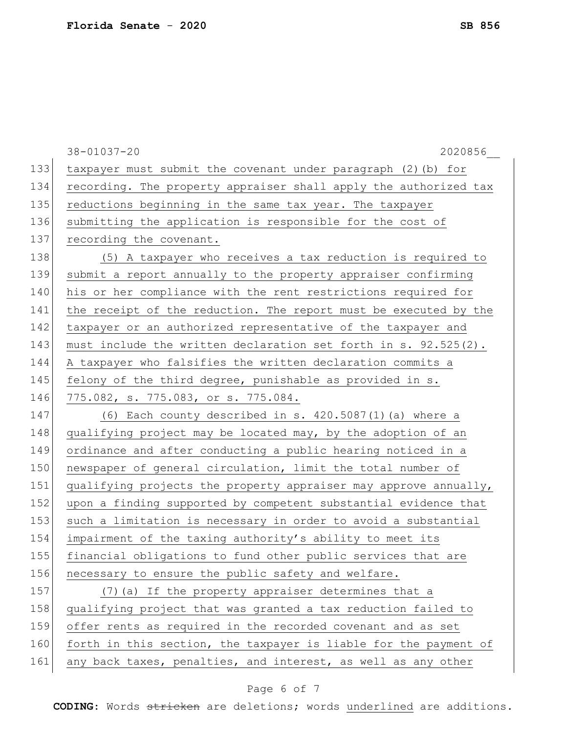|     | 38-01037-20<br>2020856                                           |
|-----|------------------------------------------------------------------|
| 133 | taxpayer must submit the covenant under paragraph (2) (b) for    |
| 134 | recording. The property appraiser shall apply the authorized tax |
| 135 | reductions beginning in the same tax year. The taxpayer          |
| 136 | submitting the application is responsible for the cost of        |
| 137 | recording the covenant.                                          |
| 138 | (5) A taxpayer who receives a tax reduction is required to       |
| 139 | submit a report annually to the property appraiser confirming    |
| 140 | his or her compliance with the rent restrictions required for    |
| 141 | the receipt of the reduction. The report must be executed by the |
| 142 | taxpayer or an authorized representative of the taxpayer and     |
| 143 | must include the written declaration set forth in s. 92.525(2).  |
| 144 | A taxpayer who falsifies the written declaration commits a       |
| 145 | felony of the third degree, punishable as provided in s.         |
| 146 | 775.082, s. 775.083, or s. 775.084.                              |
| 147 | (6) Each county described in s. 420.5087(1)(a) where a           |
| 148 | qualifying project may be located may, by the adoption of an     |
| 149 | ordinance and after conducting a public hearing noticed in a     |
| 150 | newspaper of general circulation, limit the total number of      |
| 151 | qualifying projects the property appraiser may approve annually, |
| 152 | upon a finding supported by competent substantial evidence that  |
| 153 | such a limitation is necessary in order to avoid a substantial   |
| 154 | impairment of the taxing authority's ability to meet its         |
| 155 | financial obligations to fund other public services that are     |
| 156 | necessary to ensure the public safety and welfare.               |
| 157 | (7) (a) If the property appraiser determines that a              |
| 158 | qualifying project that was granted a tax reduction failed to    |
| 159 | offer rents as required in the recorded covenant and as set      |
| 160 | forth in this section, the taxpayer is liable for the payment of |
| 161 | any back taxes, penalties, and interest, as well as any other    |

# Page 6 of 7